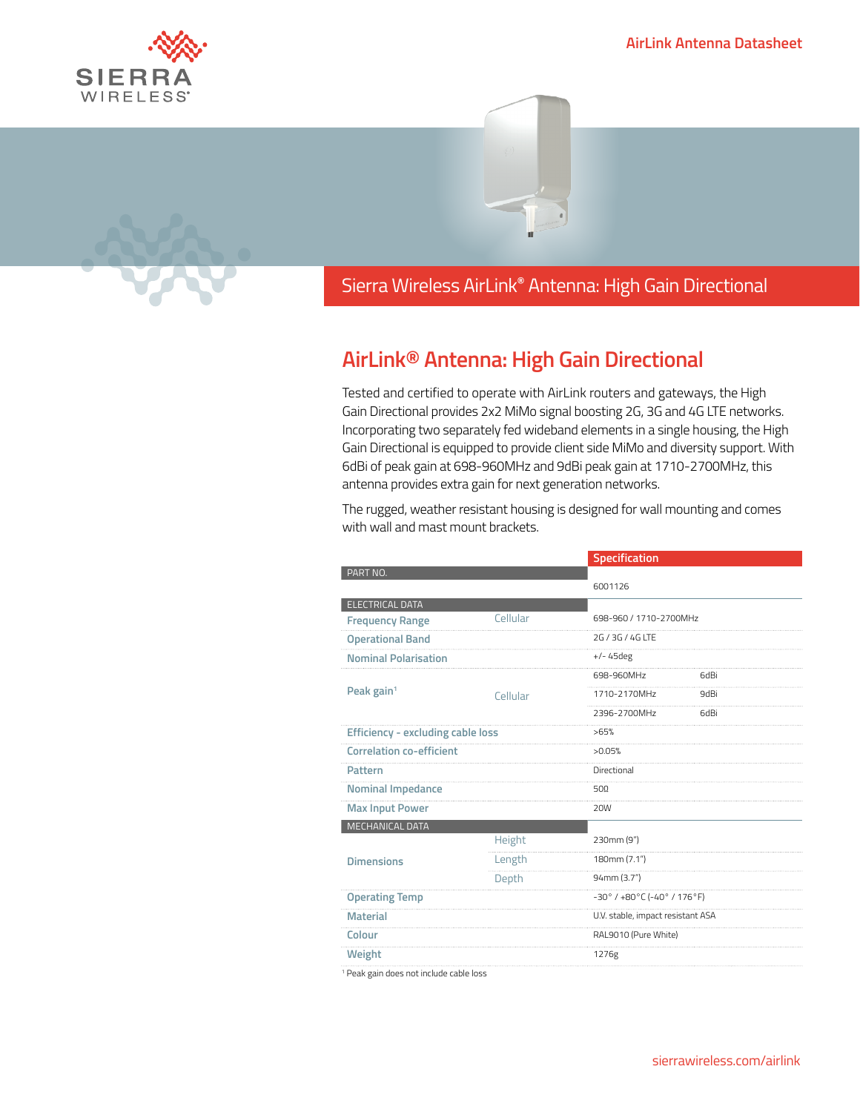## **AirLink Antenna Datasheet**





Sierra Wireless **EMBEDDED MODULES HL SERIES** Sierra Wireless AirLink**®** Antenna: High Gain Directional

## **AirLink® Antenna: High Gain Directional**

Tested and certified to operate with AirLink routers and gateways, the High Gain Directional provides 2x2 MiMo signal boosting 2G, 3G and 4G LTE networks. Incorporating two separately fed wideband elements in a single housing, the High Gain Directional is equipped to provide client side MiMo and diversity support. With 6dBi of peak gain at 698-960MHz and 9dBi peak gain at 1710-2700MHz, this antenna provides extra gain for next generation networks.

The rugged, weather resistant housing is designed for wall mounting and comes with wall and mast mount brackets.

|                                          |          | Specification                                                       |      |
|------------------------------------------|----------|---------------------------------------------------------------------|------|
| PART NO.                                 |          | 6001126                                                             |      |
|                                          |          |                                                                     |      |
| ELECTRICAL DATA                          | Cellular | 698-960 / 1710-2700MHz                                              |      |
| <b>Frequency Range</b>                   |          |                                                                     |      |
| <b>Operational Band</b>                  |          | 2G / 3G / 4G ITF                                                    |      |
| <b>Nominal Polarisation</b>              |          | $+/- 45$ deg                                                        |      |
| Peak gain <sup>1</sup>                   |          | 698-960MHz                                                          | 6dBi |
|                                          | Cellular | 1710-2170MHz                                                        | 9dBi |
|                                          |          | 2396-2700MHz                                                        | 6dBi |
| <b>Efficiency - excluding cable loss</b> |          | >65%                                                                |      |
| <b>Correlation co-efficient</b>          |          | >0.05%                                                              |      |
| Pattern                                  |          | Directional                                                         |      |
| Nominal Impedance                        |          | 500                                                                 |      |
| <b>Max Input Power</b>                   |          | <b>20W</b>                                                          |      |
| MECHANICAL DATA                          |          |                                                                     |      |
| <b>Dimensions</b>                        | Height   | 230mm (9")                                                          |      |
|                                          | Length   | 180mm (7.1")                                                        |      |
|                                          | Depth    | 94mm (3.7")                                                         |      |
| <b>Operating Temp</b>                    |          | $-30^{\circ}$ / $+80^{\circ}$ C ( $-40^{\circ}$ / 176 $^{\circ}$ F) |      |
| <b>Material</b>                          |          | U.V. stable, impact resistant ASA                                   |      |
| Colour                                   |          | RAL9010 (Pure White)                                                |      |
| Weight                                   |          | 1276g                                                               |      |
|                                          |          |                                                                     |      |

1 Peak gain does not include cable loss